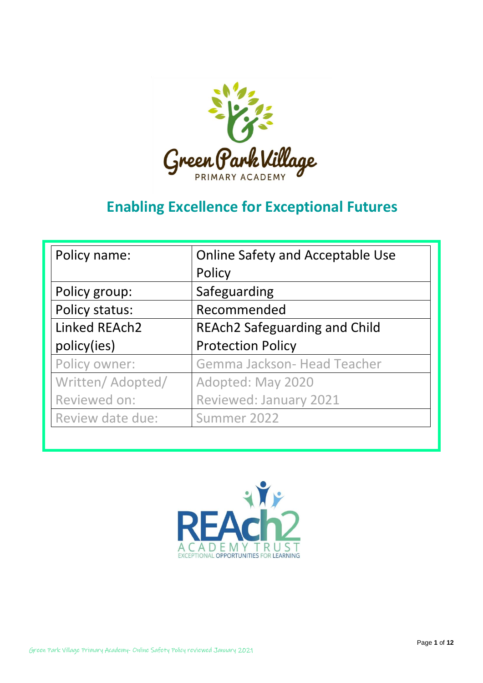

# **Enabling Excellence for Exceptional Futures**

| Policy name:      | <b>Online Safety and Acceptable Use</b> |
|-------------------|-----------------------------------------|
|                   | Policy                                  |
| Policy group:     | Safeguarding                            |
| Policy status:    | Recommended                             |
| Linked REAch2     | <b>REAch2 Safeguarding and Child</b>    |
| policy(ies)       | <b>Protection Policy</b>                |
| Policy owner:     | Gemma Jackson- Head Teacher             |
| Written/ Adopted/ | Adopted: May 2020                       |
| Reviewed on:      | Reviewed: January 2021                  |
| Review date due:  | Summer 2022                             |

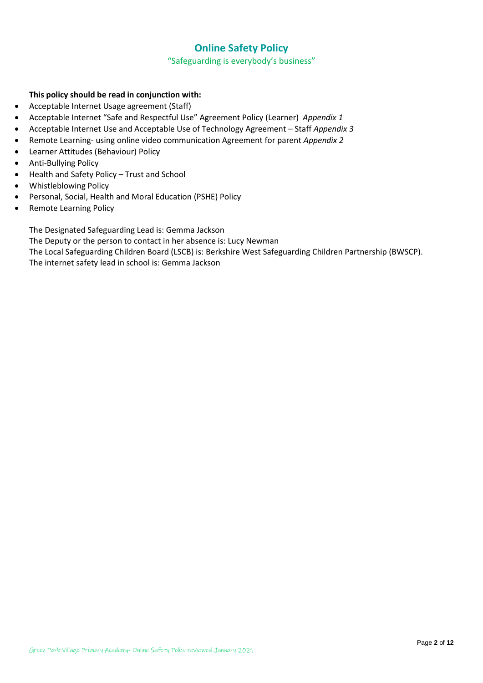### **Online Safety Policy**

"Safeguarding is everybody's business"

#### **This policy should be read in conjunction with:**

- Acceptable Internet Usage agreement (Staff)
- Acceptable Internet "Safe and Respectful Use" Agreement Policy (Learner) *Appendix 1*
- Acceptable Internet Use and Acceptable Use of Technology Agreement Staff *Appendix 3*
- Remote Learning- using online video communication Agreement for parent *Appendix 2*
- Learner Attitudes (Behaviour) Policy
- Anti-Bullying Policy
- Health and Safety Policy Trust and School
- Whistleblowing Policy
- Personal, Social, Health and Moral Education (PSHE) Policy
- Remote Learning Policy

The Designated Safeguarding Lead is: Gemma Jackson

The Deputy or the person to contact in her absence is: Lucy Newman

The Local Safeguarding Children Board (LSCB) is: Berkshire West Safeguarding Children Partnership (BWSCP). The internet safety lead in school is: Gemma Jackson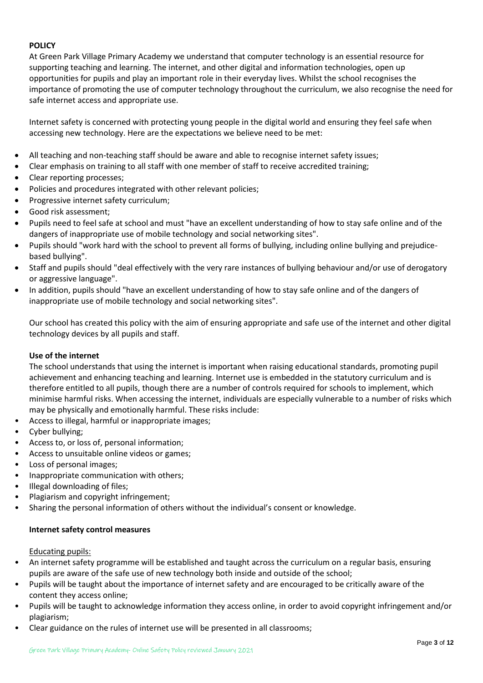#### **POLICY**

At Green Park Village Primary Academy we understand that computer technology is an essential resource for supporting teaching and learning. The internet, and other digital and information technologies, open up opportunities for pupils and play an important role in their everyday lives. Whilst the school recognises the importance of promoting the use of computer technology throughout the curriculum, we also recognise the need for safe internet access and appropriate use.

Internet safety is concerned with protecting young people in the digital world and ensuring they feel safe when accessing new technology. Here are the expectations we believe need to be met:

- All teaching and non-teaching staff should be aware and able to recognise internet safety issues;
- Clear emphasis on training to all staff with one member of staff to receive accredited training;
- Clear reporting processes;
- Policies and procedures integrated with other relevant policies;
- Progressive internet safety curriculum;
- Good risk assessment;
- Pupils need to feel safe at school and must "have an excellent understanding of how to stay safe online and of the dangers of inappropriate use of mobile technology and social networking sites".
- Pupils should "work hard with the school to prevent all forms of bullying, including online bullying and prejudicebased bullying".
- Staff and pupils should "deal effectively with the very rare instances of bullying behaviour and/or use of derogatory or aggressive language".
- In addition, pupils should "have an excellent understanding of how to stay safe online and of the dangers of inappropriate use of mobile technology and social networking sites".

Our school has created this policy with the aim of ensuring appropriate and safe use of the internet and other digital technology devices by all pupils and staff.

#### **Use of the internet**

The school understands that using the internet is important when raising educational standards, promoting pupil achievement and enhancing teaching and learning. Internet use is embedded in the statutory curriculum and is therefore entitled to all pupils, though there are a number of controls required for schools to implement, which minimise harmful risks. When accessing the internet, individuals are especially vulnerable to a number of risks which may be physically and emotionally harmful. These risks include:

- Access to illegal, harmful or inappropriate images;
- Cyber bullying;
- Access to, or loss of, personal information;
- Access to unsuitable online videos or games;
- Loss of personal images;
- Inappropriate communication with others;
- Illegal downloading of files;
- Plagiarism and copyright infringement;
- Sharing the personal information of others without the individual's consent or knowledge.

#### **Internet safety control measures**

#### Educating pupils:

- An internet safety programme will be established and taught across the curriculum on a regular basis, ensuring pupils are aware of the safe use of new technology both inside and outside of the school;
- Pupils will be taught about the importance of internet safety and are encouraged to be critically aware of the content they access online;
- Pupils will be taught to acknowledge information they access online, in order to avoid copyright infringement and/or plagiarism;
- Clear guidance on the rules of internet use will be presented in all classrooms;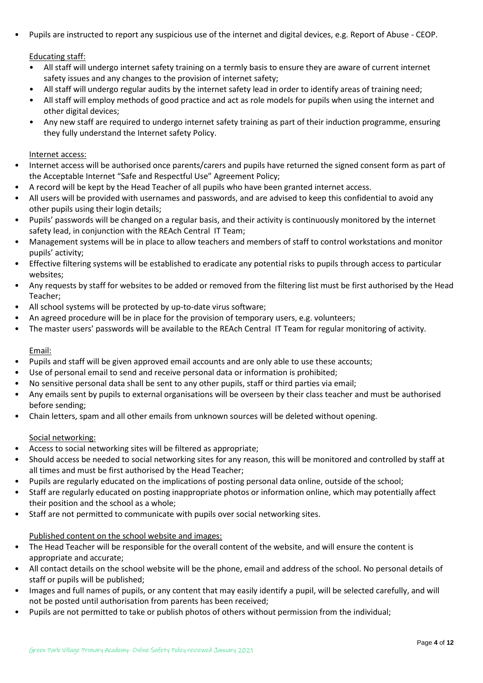• Pupils are instructed to report any suspicious use of the internet and digital devices, e.g. Report of Abuse - CEOP.

#### Educating staff:

- All staff will undergo internet safety training on a termly basis to ensure they are aware of current internet safety issues and any changes to the provision of internet safety;
- All staff will undergo regular audits by the internet safety lead in order to identify areas of training need;
- All staff will employ methods of good practice and act as role models for pupils when using the internet and other digital devices;
- Any new staff are required to undergo internet safety training as part of their induction programme, ensuring they fully understand the Internet safety Policy.

#### Internet access:

- Internet access will be authorised once parents/carers and pupils have returned the signed consent form as part of the Acceptable Internet "Safe and Respectful Use" Agreement Policy;
- A record will be kept by the Head Teacher of all pupils who have been granted internet access.
- All users will be provided with usernames and passwords, and are advised to keep this confidential to avoid any other pupils using their login details;
- Pupils' passwords will be changed on a regular basis, and their activity is continuously monitored by the internet safety lead, in conjunction with the REAch Central IT Team;
- Management systems will be in place to allow teachers and members of staff to control workstations and monitor pupils' activity;
- Effective filtering systems will be established to eradicate any potential risks to pupils through access to particular websites;
- Any requests by staff for websites to be added or removed from the filtering list must be first authorised by the Head Teacher;
- All school systems will be protected by up-to-date virus software;
- An agreed procedure will be in place for the provision of temporary users, e.g. volunteers;
- The master users' passwords will be available to the REAch Central IT Team for regular monitoring of activity.

#### Email:

- Pupils and staff will be given approved email accounts and are only able to use these accounts;
- Use of personal email to send and receive personal data or information is prohibited;
- No sensitive personal data shall be sent to any other pupils, staff or third parties via email;
- Any emails sent by pupils to external organisations will be overseen by their class teacher and must be authorised before sending;
- Chain letters, spam and all other emails from unknown sources will be deleted without opening.

#### Social networking:

- Access to social networking sites will be filtered as appropriate;
- Should access be needed to social networking sites for any reason, this will be monitored and controlled by staff at all times and must be first authorised by the Head Teacher;
- Pupils are regularly educated on the implications of posting personal data online, outside of the school;
- Staff are regularly educated on posting inappropriate photos or information online, which may potentially affect their position and the school as a whole;
- Staff are not permitted to communicate with pupils over social networking sites.

#### Published content on the school website and images:

- The Head Teacher will be responsible for the overall content of the website, and will ensure the content is appropriate and accurate;
- All contact details on the school website will be the phone, email and address of the school. No personal details of staff or pupils will be published;
- Images and full names of pupils, or any content that may easily identify a pupil, will be selected carefully, and will not be posted until authorisation from parents has been received;
- Pupils are not permitted to take or publish photos of others without permission from the individual;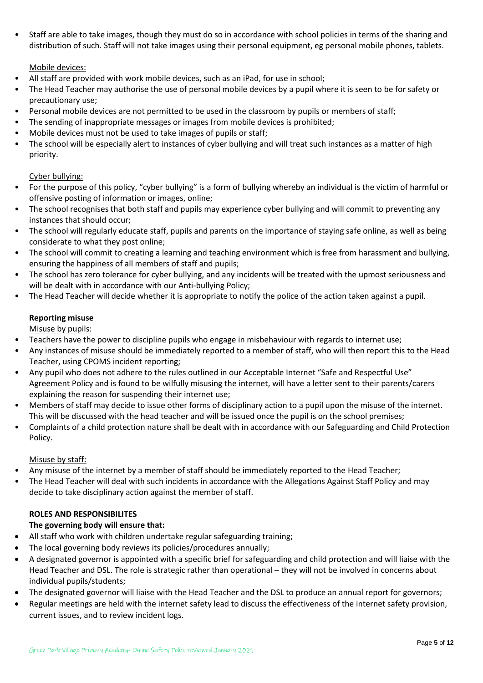• Staff are able to take images, though they must do so in accordance with school policies in terms of the sharing and distribution of such. Staff will not take images using their personal equipment, eg personal mobile phones, tablets.

#### Mobile devices:

- All staff are provided with work mobile devices, such as an iPad, for use in school;
- The Head Teacher may authorise the use of personal mobile devices by a pupil where it is seen to be for safety or precautionary use;
- Personal mobile devices are not permitted to be used in the classroom by pupils or members of staff;
- The sending of inappropriate messages or images from mobile devices is prohibited;
- Mobile devices must not be used to take images of pupils or staff;
- The school will be especially alert to instances of cyber bullying and will treat such instances as a matter of high priority.

#### Cyber bullying:

- For the purpose of this policy, "cyber bullying" is a form of bullying whereby an individual is the victim of harmful or offensive posting of information or images, online;
- The school recognises that both staff and pupils may experience cyber bullying and will commit to preventing any instances that should occur;
- The school will regularly educate staff, pupils and parents on the importance of staying safe online, as well as being considerate to what they post online;
- The school will commit to creating a learning and teaching environment which is free from harassment and bullying, ensuring the happiness of all members of staff and pupils;
- The school has zero tolerance for cyber bullying, and any incidents will be treated with the upmost seriousness and will be dealt with in accordance with our Anti-bullying Policy;
- The Head Teacher will decide whether it is appropriate to notify the police of the action taken against a pupil.

#### **Reporting misuse**

Misuse by pupils:

- Teachers have the power to discipline pupils who engage in misbehaviour with regards to internet use;
- Any instances of misuse should be immediately reported to a member of staff, who will then report this to the Head Teacher, using CPOMS incident reporting;
- Any pupil who does not adhere to the rules outlined in our Acceptable Internet "Safe and Respectful Use" Agreement Policy and is found to be wilfully misusing the internet, will have a letter sent to their parents/carers explaining the reason for suspending their internet use;
- Members of staff may decide to issue other forms of disciplinary action to a pupil upon the misuse of the internet. This will be discussed with the head teacher and will be issued once the pupil is on the school premises;
- Complaints of a child protection nature shall be dealt with in accordance with our Safeguarding and Child Protection Policy.

#### Misuse by staff:

- Any misuse of the internet by a member of staff should be immediately reported to the Head Teacher;
- The Head Teacher will deal with such incidents in accordance with the Allegations Against Staff Policy and may decide to take disciplinary action against the member of staff.

#### **ROLES AND RESPONSIBILITES**

#### **The governing body will ensure that:**

- All staff who work with children undertake regular safeguarding training;
- The local governing body reviews its policies/procedures annually;
- A designated governor is appointed with a specific brief for safeguarding and child protection and will liaise with the Head Teacher and DSL. The role is strategic rather than operational – they will not be involved in concerns about individual pupils/students;
- The designated governor will liaise with the Head Teacher and the DSL to produce an annual report for governors;
- Regular meetings are held with the internet safety lead to discuss the effectiveness of the internet safety provision, current issues, and to review incident logs.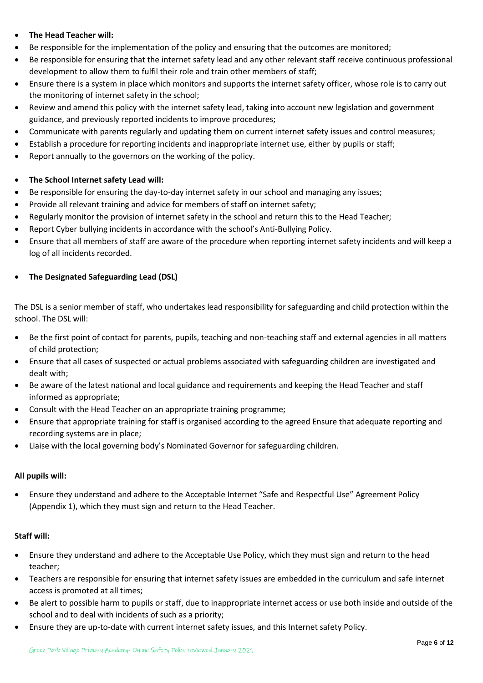- **The Head Teacher will:**
- Be responsible for the implementation of the policy and ensuring that the outcomes are monitored;
- Be responsible for ensuring that the internet safety lead and any other relevant staff receive continuous professional development to allow them to fulfil their role and train other members of staff;
- Ensure there is a system in place which monitors and supports the internet safety officer, whose role is to carry out the monitoring of internet safety in the school;
- Review and amend this policy with the internet safety lead, taking into account new legislation and government guidance, and previously reported incidents to improve procedures;
- Communicate with parents regularly and updating them on current internet safety issues and control measures;
- Establish a procedure for reporting incidents and inappropriate internet use, either by pupils or staff;
- Report annually to the governors on the working of the policy.

#### • **The School Internet safety Lead will:**

- Be responsible for ensuring the day-to-day internet safety in our school and managing any issues;
- Provide all relevant training and advice for members of staff on internet safety;
- Regularly monitor the provision of internet safety in the school and return this to the Head Teacher;
- Report Cyber bullying incidents in accordance with the school's Anti-Bullying Policy.
- Ensure that all members of staff are aware of the procedure when reporting internet safety incidents and will keep a log of all incidents recorded.

#### • **The Designated Safeguarding Lead (DSL)**

The DSL is a senior member of staff, who undertakes lead responsibility for safeguarding and child protection within the school. The DSL will:

- Be the first point of contact for parents, pupils, teaching and non-teaching staff and external agencies in all matters of child protection;
- Ensure that all cases of suspected or actual problems associated with safeguarding children are investigated and dealt with;
- Be aware of the latest national and local guidance and requirements and keeping the Head Teacher and staff informed as appropriate;
- Consult with the Head Teacher on an appropriate training programme;
- Ensure that appropriate training for staff is organised according to the agreed Ensure that adequate reporting and recording systems are in place;
- Liaise with the local governing body's Nominated Governor for safeguarding children.

#### **All pupils will:**

• Ensure they understand and adhere to the Acceptable Internet "Safe and Respectful Use" Agreement Policy (Appendix 1), which they must sign and return to the Head Teacher.

#### **Staff will:**

- Ensure they understand and adhere to the Acceptable Use Policy, which they must sign and return to the head teacher;
- Teachers are responsible for ensuring that internet safety issues are embedded in the curriculum and safe internet access is promoted at all times;
- Be alert to possible harm to pupils or staff, due to inappropriate internet access or use both inside and outside of the school and to deal with incidents of such as a priority;
- Ensure they are up-to-date with current internet safety issues, and this Internet safety Policy.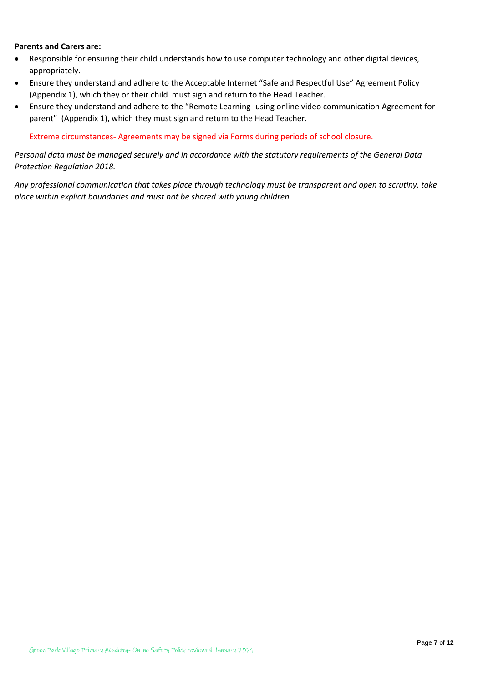#### **Parents and Carers are:**

- Responsible for ensuring their child understands how to use computer technology and other digital devices, appropriately.
- Ensure they understand and adhere to the Acceptable Internet "Safe and Respectful Use" Agreement Policy (Appendix 1), which they or their child must sign and return to the Head Teacher.
- Ensure they understand and adhere to the "Remote Learning- using online video communication Agreement for parent" (Appendix 1), which they must sign and return to the Head Teacher.

Extreme circumstances- Agreements may be signed via Forms during periods of school closure.

*Personal data must be managed securely and in accordance with the statutory requirements of the General Data Protection Regulation 2018.*

*Any professional communication that takes place through technology must be transparent and open to scrutiny, take place within explicit boundaries and must not be shared with young children.*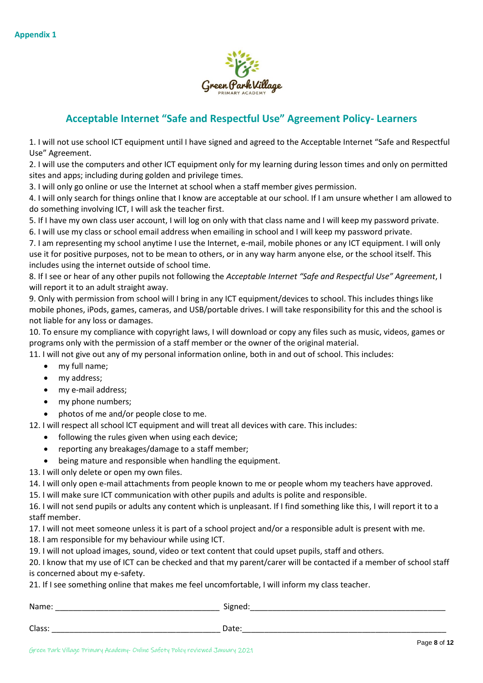

## **Acceptable Internet "Safe and Respectful Use" Agreement Policy- Learners**

1. I will not use school ICT equipment until I have signed and agreed to the Acceptable Internet "Safe and Respectful Use" Agreement.

2. I will use the computers and other ICT equipment only for my learning during lesson times and only on permitted sites and apps; including during golden and privilege times.

3. I will only go online or use the Internet at school when a staff member gives permission.

4. I will only search for things online that I know are acceptable at our school. If I am unsure whether I am allowed to do something involving ICT, I will ask the teacher first.

5. If I have my own class user account, I will log on only with that class name and I will keep my password private.

6. I will use my class or school email address when emailing in school and I will keep my password private.

7. I am representing my school anytime I use the Internet, e-mail, mobile phones or any ICT equipment. I will only use it for positive purposes, not to be mean to others, or in any way harm anyone else, or the school itself. This includes using the internet outside of school time.

8. If I see or hear of any other pupils not following the *Acceptable Internet "Safe and Respectful Use" Agreement*, I will report it to an adult straight away.

9. Only with permission from school will I bring in any ICT equipment/devices to school. This includes things like mobile phones, iPods, games, cameras, and USB/portable drives. I will take responsibility for this and the school is not liable for any loss or damages.

10. To ensure my compliance with copyright laws, I will download or copy any files such as music, videos, games or programs only with the permission of a staff member or the owner of the original material.

11. I will not give out any of my personal information online, both in and out of school. This includes:

- my full name;
- my address;
- my e-mail address;
- my phone numbers;

• photos of me and/or people close to me.

12. I will respect all school lCT equipment and will treat all devices with care. This includes:

- following the rules given when using each device;
- reporting any breakages/damage to a staff member;
- being mature and responsible when handling the equipment.
- 13. I will only delete or open my own files.

14. I will only open e-mail attachments from people known to me or people whom my teachers have approved.

15. I will make sure ICT communication with other pupils and adults is polite and responsible.

16. I will not send pupils or adults any content which is unpleasant. If I find something like this, I will report it to a staff member.

17. I will not meet someone unless it is part of a school project and/or a responsible adult is present with me.

18. I am responsible for my behaviour while using ICT.

19. I will not upload images, sound, video or text content that could upset pupils, staff and others.

20. I know that my use of ICT can be checked and that my parent/carer will be contacted if a member of school staff is concerned about my e-safety.

21. If I see something online that makes me feel uncomfortable, I will inform my class teacher.

| Name:  | Signed: |
|--------|---------|
| Class: | Date:   |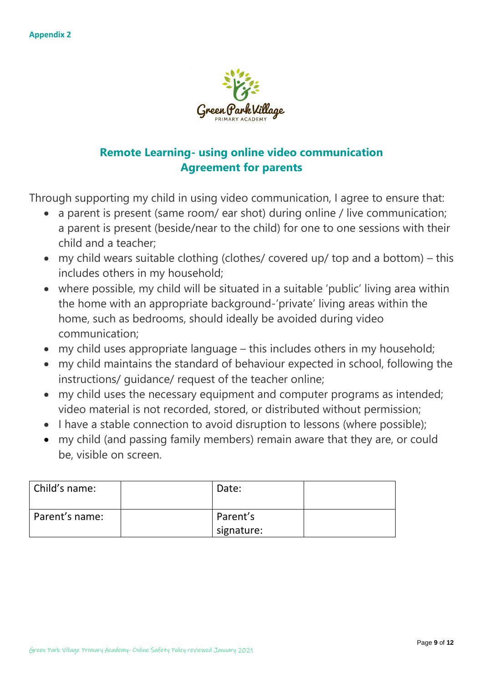

# **Remote Learning- using online video communication Agreement for parents**

Through supporting my child in using video communication, I agree to ensure that:

- a parent is present (same room/ ear shot) during online / live communication; a parent is present (beside/near to the child) for one to one sessions with their child and a teacher;
- my child wears suitable clothing (clothes/ covered up/ top and a bottom) this includes others in my household;
- where possible, my child will be situated in a suitable 'public' living area within the home with an appropriate background-'private' living areas within the home, such as bedrooms, should ideally be avoided during video communication;
- my child uses appropriate language this includes others in my household;
- my child maintains the standard of behaviour expected in school, following the instructions/ guidance/ request of the teacher online;
- my child uses the necessary equipment and computer programs as intended; video material is not recorded, stored, or distributed without permission;
- I have a stable connection to avoid disruption to lessons (where possible);
- my child (and passing family members) remain aware that they are, or could be, visible on screen.

| Child's name:  | Date:      |  |
|----------------|------------|--|
| Parent's name: | Parent's   |  |
|                | signature: |  |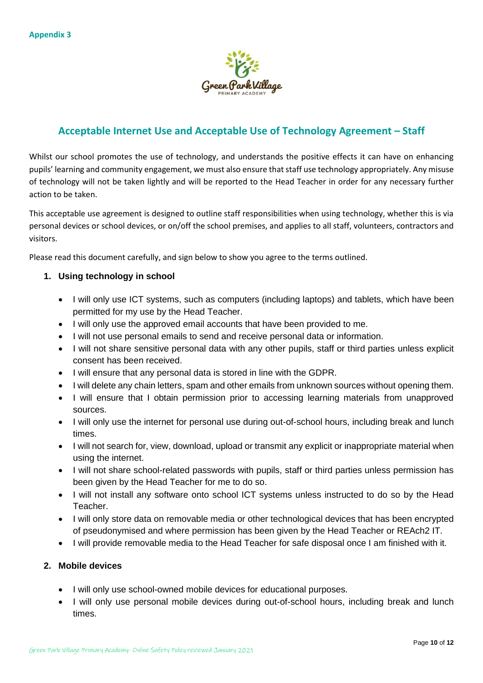

# **Acceptable Internet Use and Acceptable Use of Technology Agreement – Staff**

Whilst our school promotes the use of technology, and understands the positive effects it can have on enhancing pupils' learning and community engagement, we must also ensure that staff use technology appropriately. Any misuse of technology will not be taken lightly and will be reported to the Head Teacher in order for any necessary further action to be taken.

This acceptable use agreement is designed to outline staff responsibilities when using technology, whether this is via personal devices or school devices, or on/off the school premises, and applies to all staff, volunteers, contractors and visitors.

Please read this document carefully, and sign below to show you agree to the terms outlined.

#### **1. Using technology in school**

- I will only use ICT systems, such as computers (including laptops) and tablets, which have been permitted for my use by the Head Teacher.
- I will only use the approved email accounts that have been provided to me.
- I will not use personal emails to send and receive personal data or information.
- I will not share sensitive personal data with any other pupils, staff or third parties unless explicit consent has been received.
- I will ensure that any personal data is stored in line with the GDPR.
- I will delete any chain letters, spam and other emails from unknown sources without opening them.
- I will ensure that I obtain permission prior to accessing learning materials from unapproved sources.
- I will only use the internet for personal use during out-of-school hours, including break and lunch times.
- I will not search for, view, download, upload or transmit any explicit or inappropriate material when using the internet.
- I will not share school-related passwords with pupils, staff or third parties unless permission has been given by the Head Teacher for me to do so.
- I will not install any software onto school ICT systems unless instructed to do so by the Head Teacher.
- I will only store data on removable media or other technological devices that has been encrypted of pseudonymised and where permission has been given by the Head Teacher or REAch2 IT.
- I will provide removable media to the Head Teacher for safe disposal once I am finished with it.

#### **2. Mobile devices**

- I will only use school-owned mobile devices for educational purposes.
- I will only use personal mobile devices during out-of-school hours, including break and lunch times.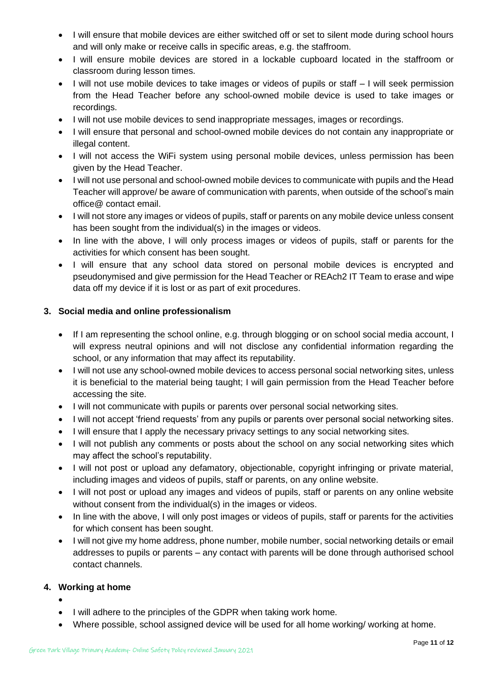- I will ensure that mobile devices are either switched off or set to silent mode during school hours and will only make or receive calls in specific areas, e.g. the staffroom.
- I will ensure mobile devices are stored in a lockable cupboard located in the staffroom or classroom during lesson times.
- I will not use mobile devices to take images or videos of pupils or staff I will seek permission from the Head Teacher before any school-owned mobile device is used to take images or recordings.
- I will not use mobile devices to send inappropriate messages, images or recordings.
- I will ensure that personal and school-owned mobile devices do not contain any inappropriate or illegal content.
- I will not access the WiFi system using personal mobile devices, unless permission has been given by the Head Teacher.
- I will not use personal and school-owned mobile devices to communicate with pupils and the Head Teacher will approve/ be aware of communication with parents, when outside of the school's main office@ contact email.
- I will not store any images or videos of pupils, staff or parents on any mobile device unless consent has been sought from the individual(s) in the images or videos.
- In line with the above, I will only process images or videos of pupils, staff or parents for the activities for which consent has been sought.
- I will ensure that any school data stored on personal mobile devices is encrypted and pseudonymised and give permission for the Head Teacher or REAch2 IT Team to erase and wipe data off my device if it is lost or as part of exit procedures.

#### **3. Social media and online professionalism**

- If I am representing the school online, e.g. through blogging or on school social media account, I will express neutral opinions and will not disclose any confidential information regarding the school, or any information that may affect its reputability.
- I will not use any school-owned mobile devices to access personal social networking sites, unless it is beneficial to the material being taught; I will gain permission from the Head Teacher before accessing the site.
- I will not communicate with pupils or parents over personal social networking sites.
- I will not accept 'friend requests' from any pupils or parents over personal social networking sites.
- I will ensure that I apply the necessary privacy settings to any social networking sites.
- I will not publish any comments or posts about the school on any social networking sites which may affect the school's reputability.
- I will not post or upload any defamatory, objectionable, copyright infringing or private material, including images and videos of pupils, staff or parents, on any online website.
- I will not post or upload any images and videos of pupils, staff or parents on any online website without consent from the individual(s) in the images or videos.
- In line with the above, I will only post images or videos of pupils, staff or parents for the activities for which consent has been sought.
- I will not give my home address, phone number, mobile number, social networking details or email addresses to pupils or parents – any contact with parents will be done through authorised school contact channels.

#### **4. Working at home**

- •
- I will adhere to the principles of the GDPR when taking work home.
- Where possible, school assigned device will be used for all home working/ working at home.